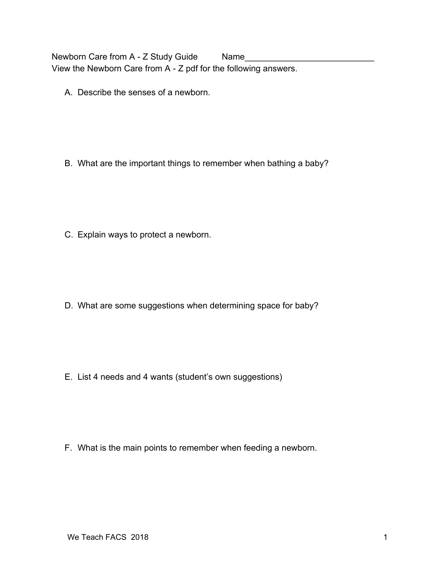Newborn Care from A - Z Study Guide Name View the Newborn Care from A - Z pdf for the following answers.

A. Describe the senses of a newborn.

B. What are the important things to remember when bathing a baby?

C. Explain ways to protect a newborn.

D. What are some suggestions when determining space for baby?

E. List 4 needs and 4 wants (student's own suggestions)

F. What is the main points to remember when feeding a newborn.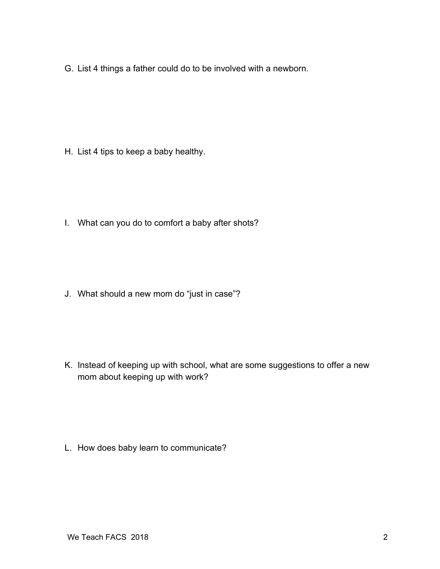G. List 4 things a father could do to be involved with a newborn.

H. List 4 tips to keep a baby healthy.

I. What can you do to comfort a baby after shots?

J. What should a new mom do "just in case"?

K. Instead of keeping up with school, what are some suggestions to offer a new mom about keeping up with work?

L. How does baby learn to communicate?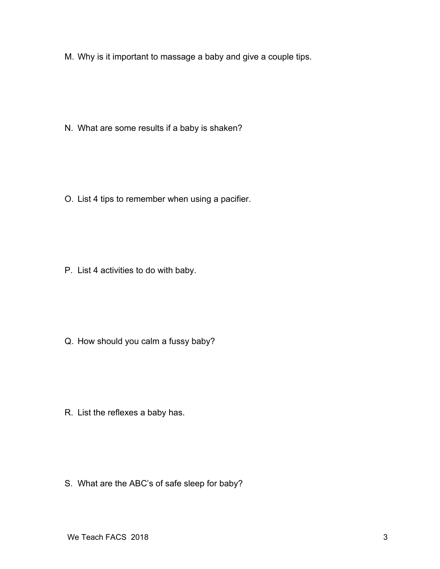M. Why is it important to massage a baby and give a couple tips.

N. What are some results if a baby is shaken?

O. List 4 tips to remember when using a pacifier.

P. List 4 activities to do with baby.

Q. How should you calm a fussy baby?

R. List the reflexes a baby has.

S. What are the ABC's of safe sleep for baby?